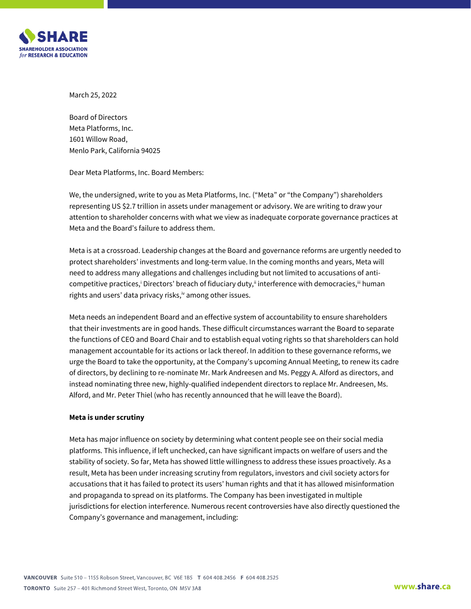

March 25, 2022

Board of Directors Meta Platforms, Inc. 1601 Willow Road, Menlo Park, California 94025

Dear Meta Platforms, Inc. Board Members:

We, the undersigned, write to you as Meta Platforms, Inc. ("Meta" or "the Company") shareholders representing US \$2.7 trillion in assets under management or advisory. We are writing to draw your attention to shareholder concerns with what we view as inadequate corporate governance practices at Meta and the Board's failure to address them.

Meta is at a crossroad. Leadership changes at the Board and governance reforms are urgently needed to protect shareholders' investments and long-term value. In the coming months and years, Meta will need to address many allegations and challenges including but not limited to accusations of anticompetitive practices,<sup>i</sup> Directors' breach of fiduciary duty,<sup>ii</sup> interference with democracies,<sup>iii</sup> human rights and users' data privacy risks, iv among other issues.

Meta needs an independent Board and an effective system of accountability to ensure shareholders that their investments are in good hands. These difficult circumstances warrant the Board to separate the functions of CEO and Board Chair and to establish equal voting rights so that shareholders can hold management accountable for its actions or lack thereof. In addition to these governance reforms, we urge the Board to take the opportunity, at the Company's upcoming Annual Meeting, to renew its cadre of directors, by declining to re-nominate Mr. Mark Andreesen and Ms. Peggy A. Alford as directors, and instead nominating three new, highly-qualified independent directors to replace Mr. Andreesen, Ms. Alford, and Mr. Peter Thiel (who has recently announced that he will leave the Board).

### **Meta is under scrutiny**

Meta has major influence on society by determining what content people see on their social media platforms. This influence, if left unchecked, can have significant impacts on welfare of users and the stability of society. So far, Meta has showed little willingness to address these issues proactively. As a result, Meta has been under increasing scrutiny from regulators, investors and civil society actors for accusations that it has failed to protect its users' human rights and that it has allowed misinformation and propaganda to spread on its platforms. The Company has been investigated in multiple jurisdictions for election interference. Numerous recent controversies have also directly questioned the Company's governance and management, including: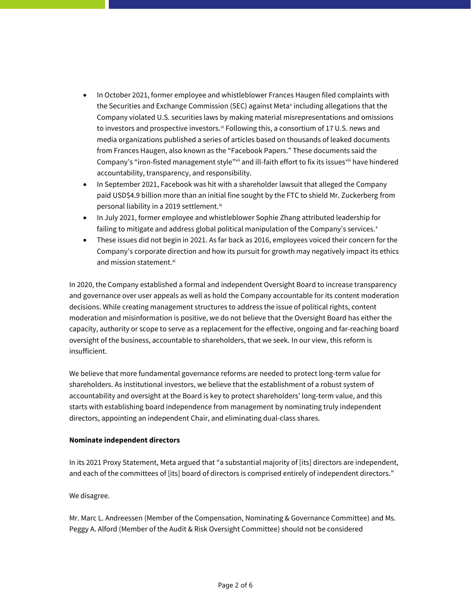- In October 2021, former employee and whistleblower Frances Haugen filed complaints with the Securities and Exchange Commission (SEC) against Meta<sup>v</sup> including allegations that the Company violated U.S. securities laws by making material misrepresentations and omissions to investors and prospective investors.<sup>vi</sup> Following this, a consortium of 17 U.S. news and media organizations published a series of articles based on thousands of leaked documents from Frances Haugen, also known as the "Facebook Papers." These documents said the Company's "iron-fisted management style" wii and ill-faith effort to fix its issues ii have hindered accountability, transparency, and responsibility.
- In September 2021, Facebook was hit with a shareholder lawsuit that alleged the Company paid USD\$4.9 billion more than an initial fine sought by the FTC to shield Mr. Zuckerberg from personal liability in a 2019 settlement.<sup>ix</sup>
- In July 2021, former employee and whistleblower Sophie Zhang attributed leadership for failing to mitigate and address global political manipulation of the Company's services. $x$
- These issues did not begin in 2021. As far back as 2016, employees voiced their concern for the Company's corporate direction and how its pursuit for growth may negatively impact its ethics and mission statement.<sup>xi</sup>

In 2020, the Company established a formal and independent Oversight Board to increase transparency and governance over user appeals as well as hold the Company accountable for its content moderation decisions. While creating management structures to address the issue of political rights, content moderation and misinformation is positive, we do not believe that the Oversight Board has either the capacity, authority or scope to serve as a replacement for the effective, ongoing and far-reaching board oversight of the business, accountable to shareholders, that we seek. In our view, this reform is insufficient.

We believe that more fundamental governance reforms are needed to protect long-term value for shareholders. As institutional investors, we believe that the establishment of a robust system of accountability and oversight at the Board is key to protect shareholders' long-term value, and this starts with establishing board independence from management by nominating truly independent directors, appointing an independent Chair, and eliminating dual-class shares.

# **Nominate independent directors**

In its 2021 Proxy Statement, Meta argued that "a substantial majority of [its] directors are independent, and each of the committees of [its] board of directors is comprised entirely of independent directors."

We disagree.

Mr. Marc L. Andreessen (Member of the Compensation, Nominating & Governance Committee) and Ms. Peggy A. Alford (Member of the Audit & Risk Oversight Committee) should not be considered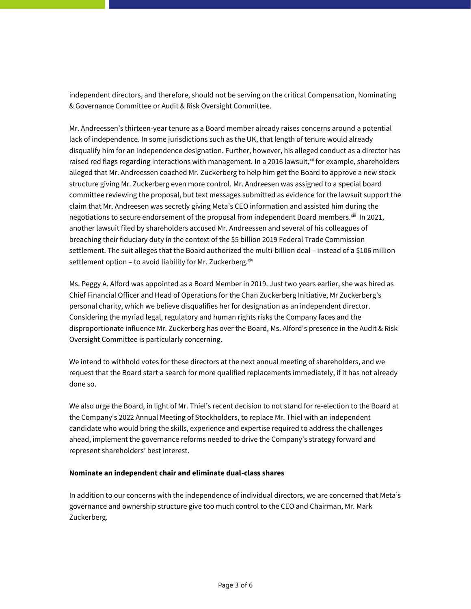independent directors, and therefore, should not be serving on the critical Compensation, Nominating & Governance Committee or Audit & Risk Oversight Committee.

Mr. Andreessen's thirteen-year tenure as a Board member already raises concerns around a potential lack of independence. In some jurisdictions such as the UK, that length of tenure would already disqualify him for an independence designation. Further, however, his alleged conduct as a director has raised red flags regarding interactions with management. In a 2016 lawsuit, $^{\text{xi}}$  for example, shareholders alleged that Mr. Andreessen coached Mr. Zuckerberg to help him get the Board to approve a new stock structure giving Mr. Zuckerberg even more control. Mr. Andreesen was assigned to a special board committee reviewing the proposal, but text messages submitted as evidence for the lawsuit support the claim that Mr. Andreesen was secretly giving Meta's CEO information and assisted him during the negotiations to secure endorsement of the proposal from independent Board members. $^{\text{xiii}}$  In 2021, another lawsuit filed by shareholders accused Mr. Andreessen and several of his colleagues of breaching their fiduciary duty in the context of the \$5 billion 2019 Federal Trade Commission settlement. The suit alleges that the Board authorized the multi-billion deal – instead of a \$106 million settlement option – to avoid liability for Mr. Zuckerberg. $x^{iv}$ 

Ms. Peggy A. Alford was appointed as a Board Member in 2019. Just two years earlier, she was hired as Chief Financial Officer and Head of Operations for the Chan Zuckerberg Initiative, Mr Zuckerberg's personal charity, which we believe disqualifies her for designation as an independent director. Considering the myriad legal, regulatory and human rights risks the Company faces and the disproportionate influence Mr. Zuckerberg has over the Board, Ms. Alford's presence in the Audit & Risk Oversight Committee is particularly concerning.

We intend to withhold votes for these directors at the next annual meeting of shareholders, and we request that the Board start a search for more qualified replacements immediately, if it has not already done so.

We also urge the Board, in light of Mr. Thiel's recent decision to not stand for re-election to the Board at the Company's 2022 Annual Meeting of Stockholders, to replace Mr. Thiel with an independent candidate who would bring the skills, experience and expertise required to address the challenges ahead, implement the governance reforms needed to drive the Company's strategy forward and represent shareholders' best interest.

### **Nominate an independent chair and eliminate dual-class shares**

In addition to our concerns with the independence of individual directors, we are concerned that Meta's governance and ownership structure give too much control to the CEO and Chairman, Mr. Mark Zuckerberg.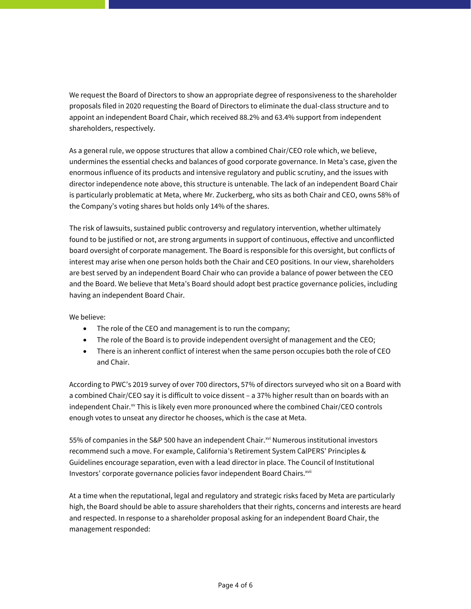We request the Board of Directors to show an appropriate degree of responsiveness to the shareholder proposals filed in 2020 requesting the Board of Directors to eliminate the dual-class structure and to appoint an independent Board Chair, which received 88.2% and 63.4% support from independent shareholders, respectively.

As a general rule, we oppose structures that allow a combined Chair/CEO role which, we believe, undermines the essential checks and balances of good corporate governance. In Meta's case, given the enormous influence of its products and intensive regulatory and public scrutiny, and the issues with director independence note above, this structure is untenable. The lack of an independent Board Chair is particularly problematic at Meta, where Mr. Zuckerberg, who sits as both Chair and CEO, owns 58% of the Company's voting shares but holds only 14% of the shares.

The risk of lawsuits, sustained public controversy and regulatory intervention, whether ultimately found to be justified or not, are strong arguments in support of continuous, effective and unconflicted board oversight of corporate management. The Board is responsible for this oversight, but conflicts of interest may arise when one person holds both the Chair and CEO positions. In our view, shareholders are best served by an independent Board Chair who can provide a balance of power between the CEO and the Board. We believe that Meta's Board should adopt best practice governance policies, including having an independent Board Chair.

# We believe:

- The role of the CEO and management is to run the company;
- The role of the Board is to provide independent oversight of management and the CEO;
- There is an inherent conflict of interest when the same person occupies both the role of CEO and Chair.

According to PWC's 2019 survey of over 700 directors, 57% of directors surveyed who sit on a Board with a combined Chair/CEO say it is difficult to voice dissent – a 37% higher result than on boards with an independent Chair.<sup>xv</sup> This is likely even more pronounced where the combined Chair/CEO controls enough votes to unseat any director he chooses, which is the case at Meta.

55% of companies in the S&P 500 have an independent Chair.<sup>xvi</sup> Numerous institutional investors recommend such a move. For example, California's Retirement System CalPERS' Principles & Guidelines encourage separation, even with a lead director in place. The Council of Institutional Investors' corporate governance policies favor independent Board Chairs.<sup>xvii</sup>

At a time when the reputational, legal and regulatory and strategic risks faced by Meta are particularly high, the Board should be able to assure shareholders that their rights, concerns and interests are heard and respected. In response to a shareholder proposal asking for an independent Board Chair, the management responded: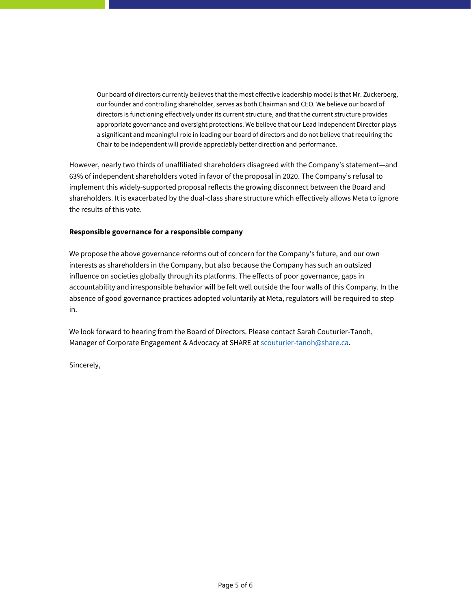Our board of directors currently believes that the most effective leadership model is that Mr. Zuckerberg, our founder and controlling shareholder, serves as both Chairman and CEO. We believe our board of directors is functioning effectively under its current structure, and that the current structure provides appropriate governance and oversight protections. We believe that our Lead Independent Director plays a significant and meaningful role in leading our board of directors and do not believe that requiring the Chair to be independent will provide appreciably better direction and performance.

However, nearly two thirds of unaffiliated shareholders disagreed with the Company's statement—and 63% of independent shareholders voted in favor of the proposal in 2020. The Company's refusal to implement this widely-supported proposal reflects the growing disconnect between the Board and shareholders. It is exacerbated by the dual-class share structure which effectively allows Meta to ignore the results of this vote.

## **Responsible governance for a responsible company**

We propose the above governance reforms out of concern for the Company's future, and our own interests as shareholders in the Company, but also because the Company has such an outsized influence on societies globally through its platforms. The effects of poor governance, gaps in accountability and irresponsible behavior will be felt well outside the four walls of this Company. In the absence of good governance practices adopted voluntarily at Meta, regulators will be required to step in.

We look forward to hearing from the Board of Directors. Please contact Sarah Couturier-Tanoh, Manager of Corporate Engagement & Advocacy at SHARE at scouturier-tanoh@share.ca.

Sincerely,